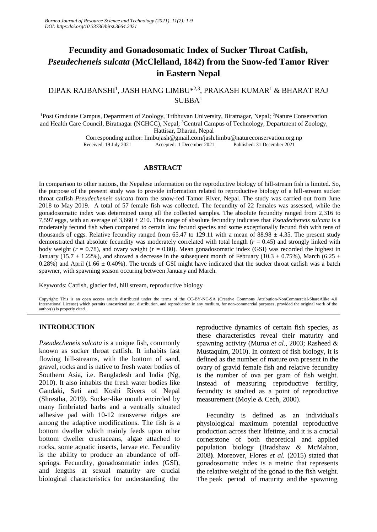# **Fecundity and Gonadosomatic Index of Sucker Throat Catfish,**  *Pseudecheneis sulcata* **(McClelland, 1842) from the Snow-fed Tamor River in Eastern Nepal**

## DIPAK RAJBANSHI<sup>1</sup>, JASH HANG LIMBU\*<sup>2,3</sup>, PRAKASH KUMAR<sup>1</sup> & BHARAT RAJ  $SUBBA<sup>1</sup>$

<sup>1</sup>Post Graduate Campus, Department of Zoology, Tribhuvan University, Biratnagar, Nepal; <sup>2</sup>Nature Conservation and Health Care Council, Biratnagar (NCHCC), Nepal; <sup>3</sup>Central Campus of Technology, Department of Zoology, Hattisar, Dharan, Nepal

> Corresponding author: [limbujash@gmail.com/](mailto:limbujash@gmail.com)jash.limbu@natureconservation.org.np Accepted: 1 December 2021

## **ABSTRACT**

In comparison to other nations, the Nepalese information on the reproductive biology of hill-stream fish is limited. So, the purpose of the present study was to provide information related to reproductive biology of a hill-stream sucker throat catfish *Pseudecheneis sulcata* from the snow-fed Tamor River, Nepal. The study was carried out from June 2018 to May 2019. A total of 57 female fish was collected. The fecundity of 22 females was assessed, while the gonadosomatic index was determined using all the collected samples. The absolute fecundity ranged from 2,316 to 7,597 eggs, with an average of 3,660 ± 210. This range of absolute fecundity indicates that *Pseudecheneis sulcata* is a moderately fecund fish when compared to certain low fecund species and some exceptionally fecund fish with tens of thousands of eggs. Relative fecundity ranged from 65.47 to 129.11 with a mean of 88.98  $\pm$  4.35. The present study demonstrated that absolute fecundity was moderately correlated with total length (*r* = 0.45) and strongly linked with body weight ( $r = 0.78$ ), and ovary weight ( $r = 0.80$ ). Mean gonadosomatic index (GSI) was recorded the highest in January (15.7  $\pm$  1.22%), and showed a decrease in the subsequent month of February (10.3  $\pm$  0.75%), March (6.25  $\pm$ 0.28%) and April (1.66  $\pm$  0.40%). The trends of GSI might have indicated that the sucker throat catfish was a batch spawner, with spawning season occuring between January and March.

Keywords: Catfish, glacier fed, hill stream, reproductive biology

Copyright: This is an open access article distributed under the terms of the CC-BY-NC-SA (Creative Commons Attribution-NonCommercial-ShareAlike 4.0 International License) which permits unrestricted use, distribution, and reproduction in any medium, for non-commercial purposes, provided the original work of the author(s) is properly cited.

## **INTRODUCTION**

*Pseudecheneis sulcata* is a unique fish, commonly known as sucker throat catfish. It inhabits fast flowing hill-streams, with the bottom of sand, gravel, rocks and is native to fresh water bodies of Southern Asia, i.e. Bangladesh and India (Ng, 2010). It also inhabits the fresh water bodies like Gandaki, Seti and Koshi Rivers of Nepal (Shrestha, 2019). Sucker-like mouth encircled by many fimbriated barbs and a ventrally situated adhesive pad with 10-12 transverse ridges are among the adaptive modifications. The fish is a bottom dweller which mainly feeds upon other bottom dweller crustaceans, algae attached to rocks, some aquatic insects, larvae etc. Fecundity is the ability to produce an abundance of offsprings. Fecundity, gonadosomatic index (GSI), and lengths at sexual maturity are crucial biological characteristics for understanding the

reproductive dynamics of certain fish species, as these characteristics reveal their maturity and spawning activity (Murua *et al.,* 2003; Rasheed & Mustaquim, 2010). In context of fish biology, it is defined as the number of mature ova present in the ovary of gravid female fish and relative fecundity is the number of ova per gram of fish weight. Instead of measuring reproductive fertility, fecundity is studied as a point of reproductive measurement (Moyle & Cech, 2000).

Fecundity is defined as an individual's physiological maximum potential reproductive production across their lifetime, and it is a crucial cornerstone of both theoretical and applied population biology (Bradshaw & McMahon, 2008**)**. Moreover, Flores *et al.* (2015) stated that gonadosomatic index is a metric that represents the relative weight of the gonad to the fish weight. The peak period of maturity and the spawning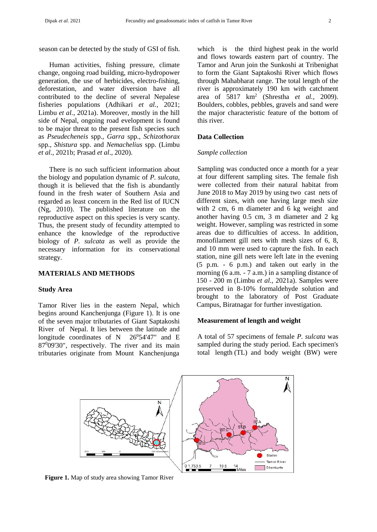season can be detected by the study of GSI of fish.

Human activities, fishing pressure, climate change, ongoing road building, micro-hydropower generation, the use of herbicides, electro-fishing, deforestation, and water diversion have all contributed to the decline of several Nepalese fisheries populations (Adhikari *et al.,* 2021; Limbu *et al.,* 2021a). Moreover, mostly in the hill side of Nepal, ongoing road evelopment is found to be major threat to the present fish species such as *Pseudecheneis* spp.*, Garra* spp.*, Schizothorax*  spp.*, Shistura* spp. and *Nemachelius* spp. (Limbu *et al*., 2021b; Prasad *et al*., 2020).

There is no such sufficient information about the biology and population dynamic of *P. sulcata,* though it is believed that the fish is abundantly found in the fresh water of Southern Asia and regarded as least concern in the Red list of IUCN (Ng, 2010). The published literature on the reproductive aspect on this species is very scanty. Thus, the present study of fecundity attempted to enhance the knowledge of the reproductive biology of *P. sulcata* as well as provide the necessary information for its conservational strategy.

## **MATERIALS AND METHODS**

#### **Study Area**

Tamor River lies in the eastern Nepal, which begins around Kanchenjunga (Figure 1). It is one of the seven major tributaries of Giant Saptakoshi River of Nepal. It lies between the latitude and longitude coordinates of N  $26^054'47''$  and E 87<sup>0</sup>09'30", respectively. The river and its main tributaries originate from Mount Kanchenjunga

which is the third highest peak in the world and flows towards eastern part of country. The Tamor and Arun join the Sunkoshi at Tribenighat to form the Giant Saptakoshi River which flows through Mahabharat range. The total length of the river is approximately 190 km with catchment area of 5817 km<sup>2</sup> (Shrestha *et al.,* 2009). Boulders, cobbles, pebbles, gravels and sand were the major characteristic feature of the bottom of this river.

## **Data Collection**

#### *Sample collection*

Sampling was conducted once a month for a year at four different sampling sites. The female fish were collected from their natural habitat from June 2018 to May 2019 by using two cast nets of different sizes, with one having large mesh size with 2 cm, 6 m diameter and 6 kg weight and another having 0.5 cm, 3 m diameter and 2 kg weight. However, sampling was restricted in some areas due to difficulties of access. In addition, monofilament gill nets with mesh sizes of 6, 8, and 10 mm were used to capture the fish. In each station, nine gill nets were left late in the evening (5 p.m. - 6 p.m.) and taken out early in the morning (6 a.m. - 7 a.m.) in a sampling distance of 150 - 200 m (Limbu *et al.,* 2021a). Samples were preserved in 8-10% formaldehyde solution and brought to the laboratory of Post Graduate Campus, Biratnagar for further investigation.

### **Measurement of length and weight**

A total of 57 specimens of female *P. sulcata* was sampled during the study period. Each specimen's total length (TL) and body weight (BW) were



**Figure 1.** Map of study area showing Tamor River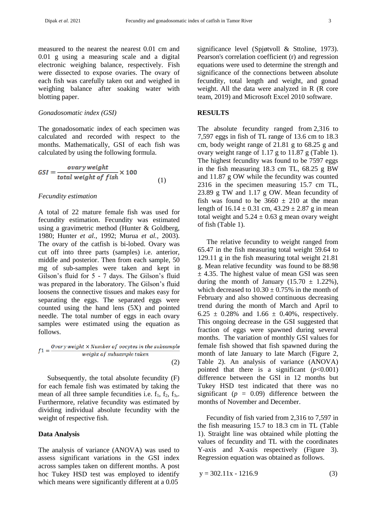measured to the nearest the nearest 0.01 cm and 0.01 g using a measuring scale and a digital electronic weighing balance, respectively. Fish were dissected to expose ovaries. The ovary of each fish was carefully taken out and weighed in weighing balance after soaking water with blotting paper.

#### *Gonadosomatic index (GSI)*

The gonadosomatic index of each specimen was calculated and recorded with respect to the months. Mathematically, GSI of each fish was calculated by using the following formula.

$$
GSI = \frac{ovary weight}{total weight of fish} \times 100
$$
\n(1)

#### *Fecundity estimation*

A total of 22 mature female fish was used for fecundity estimation. Fecundity was estimated using a gravimetric method (Hunter & Goldberg, 1980; Hunter *et al.,* 1992; Murua *et al.,* 2003). The ovary of the catfish is bi-lobed. Ovary was cut off into three parts (samples) i.e. anterior, middle and posterior. Then from each sample, 50 mg of sub-samples were taken and kept in Gilson's fluid for 5 - 7 days. The Gilson's fluid was prepared in the laboratory. The Gilson's fluid loosens the connective tissues and makes easy for separating the eggs. The separated eggs were counted using the hand lens (5X) and pointed needle. The total number of eggs in each ovary samples were estimated using the equation as follows.

$$
f1 = \frac{Ovary weight \times Number of oocytes in the subsample}{weight of subsample taken}
$$
\n(2)

Subsequently, the total absolute fecundity (F) for each female fish was estimated by taking the mean of all three sample fecundities i.e.  $f_1$ ,  $f_2$ ,  $f_3$ ,. Furthermore, relative fecundity was estimated by dividing individual absolute fecundity with the weight of respective fish.

#### **Data Analysis**

The analysis of variance (ANOVA) was used to assess significant variations in the GSI index across samples taken on different months. A post hoc Tukey HSD test was employed to identify which means were significantly different at a 0.05

significance level (Spjøtvoll & Sttoline, 1973). Pearson's correlation coefficient (r) and regression equations were used to determine the strength and significance of the connections between absolute fecundity, total length and weight, and gonad weight. All the data were analyzed in R (R core team, 2019) and Microsoft Excel 2010 software.

#### **RESULTS**

The absolute fecundity ranged from 2,316 to 7,597 eggs in fish of TL range of 13.6 cm to 18.3 cm, body weight range of 21.81 g to 68.25 g and ovary weight range of 1.17 g to 11.87 g (Table 1). The highest fecundity was found to be 7597 eggs in the fish measuring 18.3 cm TL, 68.25 g BW and 11.87 g OW while the fecundity was counted 2316 in the specimen measuring 15.7 cm TL, 23.89 g TW and 1.17 g OW. Mean fecundity of fish was found to be  $3660 \pm 210$  at the mean length of  $16.14 \pm 0.31$  cm,  $43.29 \pm 2.87$  g in mean total weight and  $5.24 \pm 0.63$  g mean ovary weight of fish (Table 1).

The relative fecundity to weight ranged from 65.47 in the fish measuring total weight 59.64 to 129.11 g in the fish measuring total weight 21.81 g. Mean relative fecundity was found to be 88.98  $\pm$  4.35. The highest value of mean GSI was seen during the month of January  $(15.70 \pm 1.22\%)$ , which decreased to  $10.30 \pm 0.75\%$  in the month of February and also showed continuous decreasing trend during the month of March and April to 6.25  $\pm$  0.28% and 1.66  $\pm$  0.40%, respectively. This ongoing decrease in the GSI suggested that fraction of eggs were spawned during several months. The variation of monthly GSI values for female fish showed that fish spawned during the month of late January to late March (Figure 2, Table 2). An analysis of variance (ANOVA) pointed that there is a significant  $(p<0.001)$ difference between the GSI in 12 months but Tukey HSD test indicated that there was no significant  $(p = 0.09)$  difference between the months of November and December.

Fecundity of fish varied from 2,316 to 7,597 in the fish measuring 15.7 to 18.3 cm in TL (Table 1). Straight line was obtained while plotting the values of fecundity and TL with the coordinates Y-axis and X-axis respectively (Figure 3). Regression equation was obtained as follows.

$$
y = 302.11x - 1216.9
$$
 (3)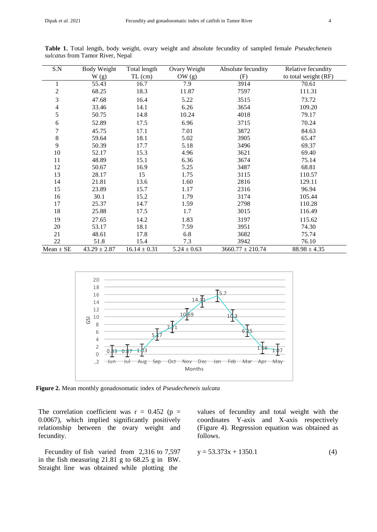| S.N            | <b>Body Weight</b> | Total length     | Ovary Weight    | Absolute fecundity   | Relative fecundity   |
|----------------|--------------------|------------------|-----------------|----------------------|----------------------|
|                | W(g)               | $TL$ (cm)        | OW $(g)$        | (F)                  | to total weight (RF) |
| 1              | 55.43              | 16.7             | 7.9             | 3914                 | 70.61                |
| $\overline{c}$ | 68.25              | 18.3             | 11.87           | 7597                 | 111.31               |
| 3              | 47.68              | 16.4             | 5.22            | 3515                 | 73.72                |
| 4              | 33.46              | 14.1             | 6.26            | 3654                 | 109.20               |
| 5              | 50.75              | 14.8             | 10.24           | 4018                 | 79.17                |
| 6              | 52.89              | 17.5             | 6.96            | 3715                 | 70.24                |
| 7              | 45.75              | 17.1             | 7.01            | 3872                 | 84.63                |
| $\,$ 8 $\,$    | 59.64              | 18.1             | 5.02            | 3905                 | 65.47                |
| 9              | 50.39              | 17.7             | 5.18            | 3496                 | 69.37                |
| 10             | 52.17              | 15.3             | 4.96            | 3621                 | 69.40                |
| 11             | 48.89              | 15.1             | 6.36            | 3674                 | 75.14                |
| 12             | 50.67              | 16.9             | 5.25            | 3487                 | 68.81                |
| 13             | 28.17              | 15               | 1.75            | 3115                 | 110.57               |
| 14             | 21.81              | 13.6             | 1.60            | 2816                 | 129.11               |
| 15             | 23.89              | 15.7             | 1.17            | 2316                 | 96.94                |
| 16             | 30.1               | 15.2             | 1.79            | 3174                 | 105.44               |
| 17             | 25.37              | 14.7             | 1.59            | 2798                 | 110.28               |
| 18             | 25.88              | 17.5             | 1.7             | 3015                 | 116.49               |
| 19             | 27.65              | 14.2             | 1.83            | 3197                 | 115.62               |
| 20             | 53.17              | 18.1             | 7.59            | 3951                 | 74.30                |
| 21             | 48.61              | 17.8             | 6.8             | 3682                 | 75.74                |
| 22             | 51.8               | 15.4             | 7.3             | 3942                 | 76.10                |
| $Mean \pm SE$  | $43.29 \pm 2.87$   | $16.14 \pm 0.31$ | $5.24 \pm 0.63$ | $3660.77 \pm 210.74$ | $88.98 \pm 4.35$     |

**Table 1.** Total length, body weight, ovary weight and absolute fecundity of sampled female *Pseudecheneis sulcatus* from Tamor River, Nepal



**Figure 2.** Mean monthly gonadosomatic index of *Pseudecheneis sulcata*

The correlation coefficient was  $r = 0.452$  (p = 0.0067), which implied significantly positively relationship between the ovary weight and fecundity.

Fecundity of fish varied from 2,316 to 7,597 in the fish measuring 21.81 g to 68.25 g in BW. Straight line was obtained while plotting the

values of fecundity and total weight with the coordinates Y-axis and X-axis respectively (Figure 4). Regression equation was obtained as follows.

$$
y = 53.373x + 1350.1\tag{4}
$$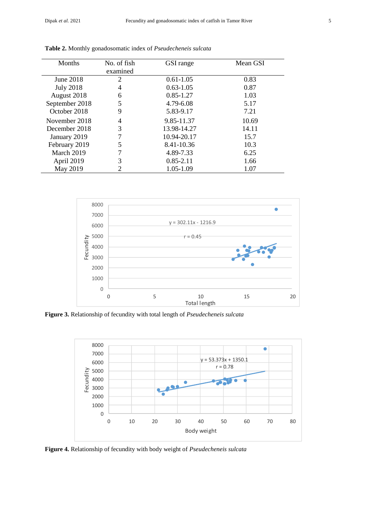| <b>Months</b>    | No. of fish | GSI range     | Mean GSI |
|------------------|-------------|---------------|----------|
|                  | examined    |               |          |
| June 2018        | 2           | $0.61 - 1.05$ | 0.83     |
| <b>July 2018</b> | 4           | $0.63 - 1.05$ | 0.87     |
| August 2018      | 6           | $0.85 - 1.27$ | 1.03     |
| September 2018   | 5           | 4.79-6.08     | 5.17     |
| October 2018     | 9           | 5.83-9.17     | 7.21     |
| November 2018    | 4           | 9.85-11.37    | 10.69    |
| December 2018    | 3           | 13.98-14.27   | 14.11    |
| January 2019     | 7           | 10.94-20.17   | 15.7     |
| February 2019    | 5           | 8.41-10.36    | 10.3     |
| March 2019       | 7           | 4.89-7.33     | 6.25     |
| April 2019       | 3           | $0.85 - 2.11$ | 1.66     |
| May 2019         | 2           | 1.05-1.09     | 1.07     |

**Table 2.** Monthly gonadosomatic index of *Pseudecheneis sulcata*



**Figure 3.** Relationship of fecundity with total length of *Pseudecheneis sulcata*



**Figure 4.** Relationship of fecundity with body weight of *Pseudecheneis sulcata*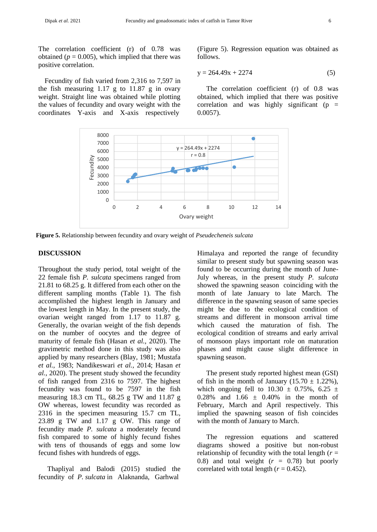The correlation coefficient (r) of 0.78 was obtained ( $p = 0.005$ ), which implied that there was positive correlation.

Fecundity of fish varied from 2,316 to 7,597 in the fish measuring 1.17 g to 11.87 g in ovary weight. Straight line was obtained while plotting the values of fecundity and ovary weight with the coordinates Y-axis and X-axis respectively

(Figure 5). Regression equation was obtained as follows.

$$
y = 264.49x + 2274\tag{5}
$$

The correlation coefficient (r) of 0.8 was obtained, which implied that there was positive correlation and was highly significant ( $p =$ 0.0057).



**Figure 5.** Relationship between fecundity and ovary weight of *Pseudecheneis sulcata*

## **DISCUSSION**

Throughout the study period, total weight of the 22 female fish *P. sulcata* specimens ranged from 21.81 to 68.25 g. It differed from each other on the different sampling months (Table 1). The fish accomplished the highest length in January and the lowest length in May. In the present study, the ovarian weight ranged from 1.17 to 11.87 g. Generally, the ovarian weight of the fish depends on the number of oocytes and the degree of maturity of female fish (Hasan *et al.,* 2020). The gravimetric method done in this study was also applied by many researchers (Blay, 1981; Mustafa *et al.,* 1983; Nandikeswari *et al.,* 2014; Hasan *et al.,* 2020). The present study showed the fecundity of fish ranged from 2316 to 7597. The highest fecundity was found to be 7597 in the fish measuring 18.3 cm TL, 68.25 g TW and 11.87 g OW whereas, lowest fecundity was recorded as 2316 in the specimen measuring 15.7 cm TL, 23.89 g TW and 1.17 g OW. This range of fecundity made *P. sulcata* a moderately fecund fish compared to some of highly fecund fishes with tens of thousands of eggs and some low fecund fishes with hundreds of eggs.

Thapliyal and Balodi (2015) studied the fecundity of *P. sulcata* in Alaknanda, Garhwal

Himalaya and reported the range of fecundity similar to present study but spawning season was found to be occurring during the month of June-July whereas, in the present study *P. sulcata*  showed the spawning season coinciding with the month of late January to late March. The difference in the spawning season of same species might be due to the ecological condition of streams and different in monsoon arrival time which caused the maturation of fish. The ecological condition of streams and early arrival of monsoon plays important role on maturation phases and might cause slight difference in spawning season.

The present study reported highest mean (GSI) of fish in the month of January  $(15.70 \pm 1.22\%)$ , which ongoing fell to  $10.30 \pm 0.75\%$ ,  $6.25 \pm 1.5\%$ 0.28% and  $1.66 \pm 0.40$ % in the month of February, March and April respectively. This implied the spawning season of fish coincides with the month of January to March.

The regression equations and scattered diagrams showed a positive but non-robust relationship of fecundity with the total length  $(r =$ 0.8) and total weight  $(r = 0.78)$  but poorly correlated with total length  $(r = 0.452)$ .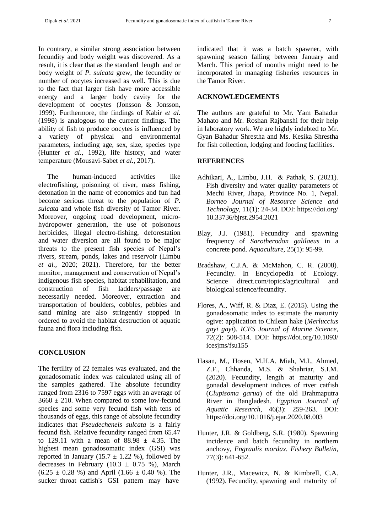In contrary, a similar strong association between fecundity and body weight was discovered. As a result, it is clear that as the standard length and or body weight of *P. sulcata* grew, the fecundity or number of oocytes increased as well. This is due to the fact that larger fish have more accessible energy and a larger body cavity for the development of oocytes (Jonsson & Jonsson, 1999). Furthermore, the findings of Kabir *et al.* (1998) is analogous to the current findings. The ability of fish to produce oocytes is influenced by a variety of physical and environmental parameters, including age, sex, size, species type (Hunter *et al.,* 1992), life history, and water temperature (Mousavi-Sabet *et al.,* 2017).

The human-induced activities like electrofishing, poisoning of river, mass fishing, detonation in the name of economics and fun had become serious threat to the population of *P. sulcata* and whole fish diversity of Tamor River. Moreover, ongoing road development, microhydropower generation, the use of poisonous herbicides, illegal electro-fishing, deforestation and water diversion are all found to be major threats to the present fish species of Nepal's rivers, stream, ponds, lakes and reservoir (Limbu *et al.,* 2020; 2021). Therefore, for the better monitor, management and conservation of Nepal's indigenous fish species, habitat rehabilitation, and construction of fish ladders/passage are necessarily needed. Moreover, extraction and transportation of boulders, cobbles, pebbles and sand mining are also stringently stopped in ordered to avoid the habitat destruction of aquatic fauna and flora including fish.

## **CONCLUSION**

The fertility of 22 females was evaluated, and the gonadosomatic index was calculated using all of the samples gathered. The absolute fecundity ranged from 2316 to 7597 eggs with an average of  $3660 \pm 210$ . When compared to some low-fecund species and some very fecund fish with tens of thousands of eggs, this range of absolute fecundity indicates that *Pseudecheneis sulcata* is a fairly fecund fish. Relative fecundity ranged from 65.47 to 129.11 with a mean of  $88.98 \pm 4.35$ . The highest mean gonadosomatic index (GSI) was reported in January (15.7  $\pm$  1.22 %), followed by decreases in February (10.3  $\pm$  0.75 %), March  $(6.25 \pm 0.28 \%)$  and April  $(1.66 \pm 0.40 \%)$ . The sucker throat catfish's GSI pattern may have

indicated that it was a batch spawner, with spawning season falling between January and March. This period of months might need to be incorporated in managing fisheries resources in the Tamor River.

## **ACKNOWLEDGEMENTS**

The authors are grateful to Mr. Yam Bahadur Mahato and Mr. Roshan Rajbanshi for their help in laboratory work. We are highly indebted to Mr. Gyan Bahadur Shrestha and Ms. Kesika Shrestha for fish collection, lodging and fooding facilities.

#### **REFERENCES**

- Adhikari, A., Limbu, J.H. & Pathak, S. (2021). Fish diversity and water quality parameters of Mechi River, Jhapa, Province No. 1, Nepal. *Borneo Journal of Resource Science and Technology,* 11(1): 24-34. DOI: https://doi.org/ 10.33736/bjrst.2954.2021
- Blay, J.J. (1981). Fecundity and spawning frequency of *Sarotherodon galilaeus* in a concrete pond. *Aquaculture*, 25(1): 95-99.
- Bradshaw, C.J.A. & McMahon, C. R. (2008). Fecundity. In Encyclopedia of Ecology. Science direct.com/topics/agricultural and biological science/fecundity.
- Flores, A., Wiff, R. & Diaz, E. (2015). Using the gonadosomatic index to estimate the maturity ogive: application to Chilean hake (*Merluccius gayi gayi*). *ICES Journal of Marine Science*, 72(2): 508-514. DOI: https://doi.org/10.1093/ icesjms/fsu155
- Hasan, M., Hosen, M.H.A. Miah, M.I., Ahmed, Z.F., Chhanda, M.S. & Shahriar, S.I.M. (2020). Fecundity, length at maturity and gonadal development indices of river catfish (*Clupisoma garua*) of the old Brahmaputra River in Bangladesh. *Egyptian Journal of Aquatic Research*, 46(3): 259-263. DOI: <https://doi.org/10.1016/j.ejar.2020.08.003>
- Hunter, J.R. & Goldberg, S.R. (1980). Spawning incidence and batch fecundity in northern anchovy, *Engraulis mordax*. *Fishery Bulletin*, 77(3): 641-652.
- Hunter, J.R., Macewicz, N. & Kimbrell, C.A. (1992). Fecundity, spawning and maturity of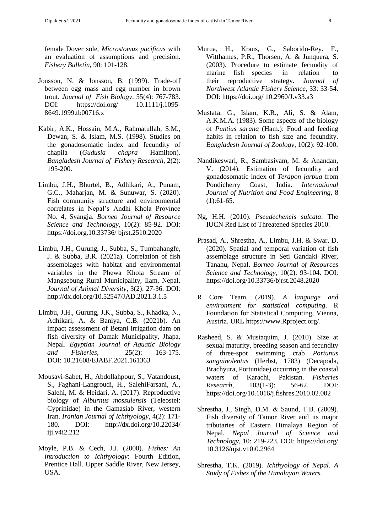female Dover sole, *Microstomus pacificus* with an evaluation of assumptions and precision. *Fishery Bulletin*, 90: 101-128.

- Jonsson, N. & Jonsson, B. (1999). Trade-off between egg mass and egg number in brown trout. *Journal of Fish Biology*, 55(4): 767-783. DOI: https://doi.org/ 10.1111/j.1095- 8649.1999.tb00716.x
- Kabir, A.K., Hossain, M.A., Rahmatullah, S.M., Dewan, S. & Islam, M.S. (1998). Studies on the gonadosomatic index and fecundity of chapila (*Gudusia chapra* Hamilton). *Bangladesh Journal of Fishery Research*, 2(2): 195-200.
- Limbu, J.H., Bhurtel, B., Adhikari, A., Punam, G.C., Maharjan, M. & Sunuwar, S. (2020). Fish community structure and environmental correlates in Nepal's Andhi Khola Province No. 4, Syangja. *Borneo Journal of Resource Science and Technology*, 10(2): 85-92. DOI: https://doi.org.10.33736/ bjrst.2510.2020
- Limbu, J.H., Gurung, J., Subba, S., Tumbahangfe, J. & Subba, B.R. (2021a). Correlation of fish assemblages with habitat and environmental variables in the Phewa Khola Stream of Mangsebung Rural Municipality, Ilam, Nepal. *Journal of Animal Diversity*, 3(2): 27-36. DOI: <http://dx.doi.org/10.52547/JAD.2021.3.1.5>
- Limbu, J.H., Gurung, J.K., Subba, S., Khadka, N., Adhikari, A. & Baniya, C.B. (2021b). An impact assessment of Betani irrigation dam on fish diversity of Damak Municipality, Jhapa, Nepal. *Egyptian Journal of Aquatic Biology and Fisheries*, 25(2): 163-175. DOI: [10.21608/EJABF.2021.161363](https://dx.doi.org/10.21608/ejabf.2021.161363)
- Mousavi-Sabet, H., Abdollahpour, S., Vatandoust, S., Faghani-Langroudi, H., SalehiFarsani, A., Salehi, M. & Heidari, A. (2017). Reproductive biology of *Alburnus mossulensis* (Teleostei: Cyprinidae) in the Gamasiab River, western Iran. *Iranian Journal of Ichthyology*, 4(2): 171- 180. DOI: http://dx.doi.org/10.22034/ iji.v4i2.212
- Moyle, P.B. & Cech, J.J. (2000). *Fishes: An introduction to Ichthyology*: Fourth Edition, Prentice Hall. Upper Saddle River, New Jersey, USA.
- Murua, H., Kraus, G., Saborido-Rey. F., Witthames, P.R., Thorsen, A. & Junquera, S. (2003). Procedure to estimate fecundity of marine fish species in relation to their reproductive strategy. *Journal of Northwest Atlantic Fishery Science*, 33: 33-54. DOI: https://doi.org/ 10.2960/J.v33.a3
- Mustafa, G., Islam, K.R., Ali, S. & Alam, A.K.M.A. (1983). Some aspects of the biology of *Puntius sarana* (Ham.): Food and feeding habits in relation to fish size and fecundity. *Bangladesh Journal of Zoology*, 10(2): 92-100.
- Nandikeswari, R., Sambasivam, M. & Anandan, V. (2014). Estimation of fecundity and gonadosomatic index of *Terapon jarbua* from Pondicherry Coast, India. *International Journal of Nutrition and Food Engineering,* 8  $(1):61-65.$
- Ng, H.H. (2010). *Pseudecheneis sulcata*. The IUCN Red List of Threatened Species 2010.
- Prasad, A., Shrestha, A., Limbu, J.H. & Swar, D. (2020). Spatial and temporal variation of fish assemblage structure in Seti Gandaki River, Tanahu, Nepal. *Borneo Journal of Resources Science and Technology*, 10(2): 93-104. DOI: <https://doi.org/10.33736/bjrst.2048.2020>
- R Core Team. (2019). *A language and environment for statistical computing*. R Foundation for Statistical Computing, Vienna, Austria. URL [https://www.Rproject.org/.](https://www.rproject.org/)
- Rasheed, S. & Mustaquim, J. (2010). Size at sexual maturity, breeding season and fecundity of three-spot swimming crab *Portunus sanguinolentus* (Herbst, 1783) (Decapoda, Brachyura, Portunidae) occurring in the coastal waters of Karachi, Pakistan. *Fisheries Research*, 103(1-3): 56-62. DOI: https://doi.org/10.1016/j.fishres.2010.02.002
- Shrestha, J., Singh, D.M. & Saund, T.B. (2009). Fish diversity of Tamor River and its major tributaries of Eastern Himalaya Region of Nepal. *Nepal Journal of Science and Technology*, 10: 219-223. DOI: https://doi.org/ 10.3126/njst.v10i0.2964
- Shrestha, T.K. (2019). *Ichthyology of Nepal. A Study of Fishes of the Himalayan Waters.*